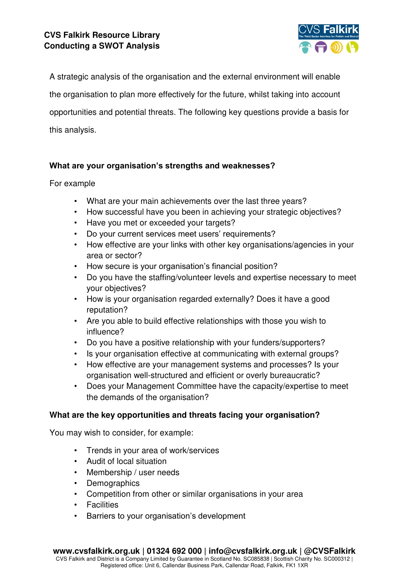

A strategic analysis of the organisation and the external environment will enable the organisation to plan more effectively for the future, whilst taking into account opportunities and potential threats. The following key questions provide a basis for this analysis.

## **What are your organisation's strengths and weaknesses?**

## For example

- What are your main achievements over the last three years?
- How successful have you been in achieving your strategic objectives?
- Have you met or exceeded your targets?
- Do your current services meet users' requirements?
- How effective are your links with other key organisations/agencies in your area or sector?
- How secure is your organisation's financial position?
- Do you have the staffing/volunteer levels and expertise necessary to meet your objectives?
- How is your organisation regarded externally? Does it have a good reputation?
- Are you able to build effective relationships with those you wish to influence?
- Do you have a positive relationship with your funders/supporters?
- Is your organisation effective at communicating with external groups?
- How effective are your management systems and processes? Is your organisation well-structured and efficient or overly bureaucratic?
- Does your Management Committee have the capacity/expertise to meet the demands of the organisation?

## **What are the key opportunities and threats facing your organisation?**

You may wish to consider, for example:

- Trends in your area of work/services
- Audit of local situation
- Membership / user needs
- **Demographics**
- Competition from other or similar organisations in your area
- **Facilities**
- Barriers to your organisation's development